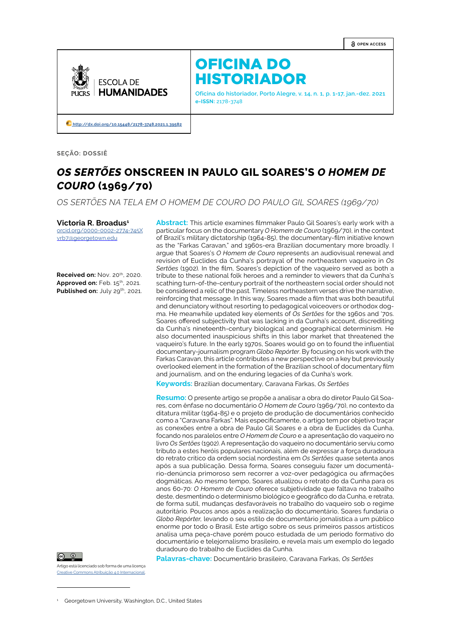**OPEN ACCESS**



# OFICINA DO HISTORIADOR

**Oficina do historiador, Porto Alegre, v. 14, n. 1, p. 1-17, jan.-dez. 2021 e-ISSN:** 2178-3748

 **[http://dx.doi.org/10.15448/2178-3748.2021.](http://dx.doi.org/10.15448/2178-3748.2021.1.39582)1.39582**

**SEÇÃO: DOSSIÊ**

# *OS SERTÕES* **ONSCREEN IN PAULO GIL SOARES'S** *O HOMEM DE COURO* **(1969/70)**

*OS SERTÕES NA TELA EM O HOMEM DE COURO DO PAULO GIL SOARES (1969/70)*

**Victoria R. Broadus1**

[orcid.org/0000-0002-2774-745X](https://orcid.org/0000-0002-2774-745X) [vrb7@georgetown.edu](mailto:vrb7@georgetown.edu)

**Received on: Nov. 20th, 2020. Approved on:** Feb. 15th, 2021. Published on: July 29<sup>th</sup>, 2021.

**Abstract:** This article examines filmmaker Paulo Gil Soares's early work with a particular focus on the documentary *O Homem de Couro* (1969/70), in the context of Brazil's military dictatorship (1964-85), the documentary-film initiative known as the "Farkas Caravan," and 1960s-era Brazilian documentary more broadly. I argue that Soares's *O Homem de Couro* represents an audiovisual renewal and revision of Euclides da Cunha's portrayal of the northeastern vaqueiro in *Os Sertões* (1902)*.* In the film, Soares's depiction of the vaqueiro served as both a tribute to these national folk heroes and a reminder to viewers that da Cunha's scathing turn-of-the-century portrait of the northeastern social order should not be considered a relic of the past. Timeless northeastern verses drive the narrative, reinforcing that message. In this way, Soares made a film that was both beautiful and denunciatory without resorting to pedagogical voiceovers or orthodox dogma. He meanwhile updated key elements of *Os Sertões* for the 1960s and '70s. Soares offered subjectivity that was lacking in da Cunha's account, discrediting da Cunha's nineteenth-century biological and geographical determinism. He also documented inauspicious shifts in this labor market that threatened the vaqueiro's future. In the early 1970s, Soares would go on to found the influential documentary-journalism program *Globo Repórter*. By focusing on his work with the Farkas Caravan, this article contributes a new perspective on a key but previously overlooked element in the formation of the Brazilian school of documentary film and journalism, and on the enduring legacies of da Cunha's work.

**Keywords:** Brazilian documentary, Caravana Farkas, *Os Sertões*

**Resumo:** O presente artigo se propõe a analisar a obra do diretor Paulo Gil Soares, com ênfase no documentário *O Homem de Couro* (1969/70), no contexto da ditatura militar (1964-85) e o projeto de produção de documentários conhecido como a "Caravana Farkas". Mais especificamente, o artigo tem por objetivo traçar as conexões entre a obra de Paulo Gil Soares e a obra de Euclides da Cunha, focando nos paralelos entre *O Homem de Couro* e a apresentação do vaqueiro no livro *Os Sertões* (1902). A representação do vaqueiro no documentário serviu como tributo a estes heróis populares nacionais, além de expressar a força duradoura do retrato crítico da ordem social nordestina em *Os Sertões* quase setenta anos após a sua publicação. Dessa forma, Soares conseguiu fazer um documentário-denúncia primoroso sem recorrer a voz-over pedagógica ou afirmações dogmáticas. Ao mesmo tempo, Soares atualizou o retrato do da Cunha para os anos 60-70: *O Homem de Couro* oferece subjetividade que faltava no trabalho deste, desmentindo o determinismo biológico e geográfico do da Cunha, e retrata, de forma sutil, mudanças desfavoráveis no trabalho do vaqueiro sob o regime autoritário. Poucos anos após a realização do documentário, Soares fundaria o *Globo Repórter,* levando o seu estilo de documentário jornalística a um público enorme por todo o Brasil. Este artigo sobre os seus primeiros passos artísticos analisa uma peça-chave porém pouco estudada de um período formativo do documentário e telejornalismo brasileiro, e revela mais um exemplo do legado duradouro do trabalho de Euclides da Cunha.

Artigo está licenciado sob forma de uma licença ative Commons Atribuição 4.0 Inter

**Palavras-chave:** Documentário brasileiro, Caravana Farkas, *Os Sertões*

<sup>1</sup> Georgetown University, Washington, D.C., United States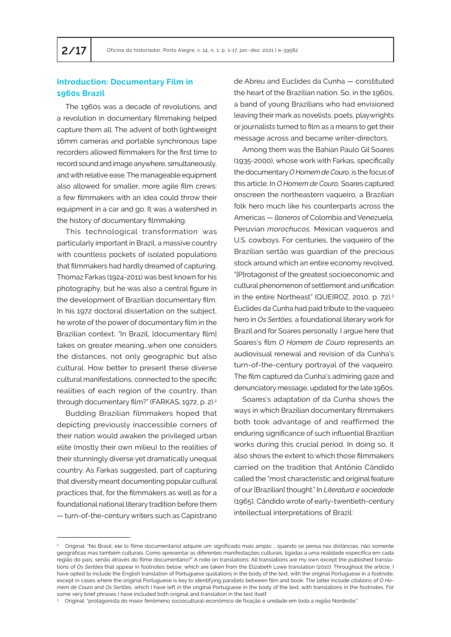## **Introduction: Documentary Film in 1960s Brazil**

The 1960s was a decade of revolutions, and a revolution in documentary filmmaking helped capture them all. The advent of both lightweight 16mm cameras and portable synchronous tape recorders allowed filmmakers for the first time to record sound and image anywhere, simultaneously, and with relative ease. The manageable equipment also allowed for smaller, more agile film crews: a few filmmakers with an idea could throw their equipment in a car and go. It was a watershed in the history of documentary filmmaking.

This technological transformation was particularly important in Brazil, a massive country with countless pockets of isolated populations that filmmakers had hardly dreamed of capturing. Thomaz Farkas (1924-2011) was best known for his photography, but he was also a central figure in the development of Brazilian documentary film. In his 1972 doctoral dissertation on the subject, he wrote of the power of documentary film in the Brazilian context: *"*In Brazil, [documentary film] takes on greater meaning…when one considers the distances, not only geographic but also cultural. How better to present these diverse cultural manifestations, connected to the specific realities of each region of the country, than through documentary film?" (FARKAS, 1972, p. 2).<sup>2</sup>

Budding Brazilian filmmakers hoped that depicting previously inaccessible corners of their nation would awaken the privileged urban elite (mostly their own milieu) to the realities of their stunningly diverse yet dramatically unequal country. As Farkas suggested, part of capturing that diversity meant documenting popular cultural practices that, for the filmmakers as well as for a foundational national literary tradition before them — turn-of-the-century writers such as Capistrano

de Abreu and Euclides da Cunha — constituted the heart of the Brazilian nation. So, in the 1960s, a band of young Brazilians who had envisioned leaving their mark as novelists, poets, playwrights or journalists turned to film as a means to get their message across and became writer-directors.

Among them was the Bahian Paulo Gil Soares (1935-2000), whose work with Farkas, specifically the documentary *O Homem de Couro*, is the focus of this article. In *O Homem de Couro,* Soares captured onscreen the northeastern vaqueiro, a Brazilian folk hero much like his counterparts across the Americas — *llaneros* of Colombia and Venezuela*,*  Peruvian *morochucos,* Mexican vaqueros and U.S. cowboys. For centuries, the vaqueiro of the Brazilian sertão was guardian of the precious stock around which an entire economy revolved, "[P]rotagonist of the greatest socioeconomic and cultural phenomenon of settlement and unification in the entire Northeast" (QUEIROZ, 2010, p. 72)*.* 3 Euclides da Cunha had paid tribute to the vaqueiro hero in *Os Sertões,* a foundational literary work for Brazil and for Soares personally. I argue here that Soares's film *O Homem de Couro* represents an audiovisual renewal and revision of da Cunha's turn-of-the-century portrayal of the vaqueiro. The film captured da Cunha's admiring gaze and denunciatory message, updated for the late 1960s.

Soares's adaptation of da Cunha shows the ways in which Brazilian documentary filmmakers both took advantage of and reaffirmed the enduring significance of such influential Brazilian works during this crucial period. In doing so, it also shows the extent to which those filmmakers carried on the tradition that Antônio Cândido called the "most characteristic and original feature of our [Brazilian] thought." In *Literatura e sociedade*  (1965)*,* Cândido wrote of early-twentieth-century intellectual interpretations of Brazil:

<sup>2</sup> Original: "No Brasil, ele [o filme documentário] adquire um significado mais amplo … quando se pensa nas distâncias, não somente geográficas mas também culturais. Como apresentar as diferentes manifestações culturais, ligadas a uma realidade específica em cada região do país, senão através do filme documentário?" A note on translations: All translations are my own except the published translations of *Os Sertões* that appear in footnotes below, which are taken from the Elizabeth Lowe translation (2010). Throughout the article, I have opted to include the English translation of Portuguese quotations in the body of the text, with the original Portuguese in a footnote, except in cases where the original Portuguese is key to identifying parallels between film and book. The latter include citations of *O Homem de Couro* and *Os Sertões,* which I have left in the original Portuguese in the body of the text, with translations in the footnotes. For some very brief phrases I have included both original and translation in the text itself.

<sup>3</sup> Original: "protagonista do maior fenômeno sociocultural-econômico de fixação e unidade em toda a região Nordeste."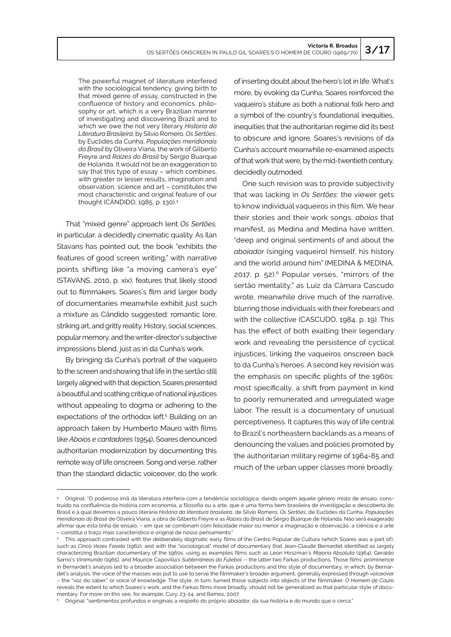The powerful magnet of literature interfered with the sociological tendency, giving birth to that mixed genre of essay, constructed in the confluence of history and economics, philosophy or art, which is a very Brazilian manner of investigating and discovering Brazil and to which we owe the not very literary *Historia da Literatura Brasileira*, by Silvio Romero, *Os Sertões*, by Euclides da Cunha, *Populações meridionais do Brasil* by Oliveira Viana, the work of Gilberto Freyre and *Raizes do Brasil* by Sérgio Buarque de Holanda. It would not be an exaggeration to say that this type of essay – which combines, with greater or lesser results, imagination and observation, science and art – constitutes the most characteristic and original feature of our thought (CÂNDIDO, 1985, p. 130).<sup>4</sup>

That "mixed genre" approach lent *Os Sertões,*  in particular, a decidedly cinematic quality. As Ilan Stavans has pointed out, the book "exhibits the features of good screen writing," with narrative points shifting like "a moving camera's eye" (STAVANS, 2010, p. xix), features that likely stood out to filmmakers. Soares's film and larger body of documentaries meanwhile exhibit just such a mixture as Cândido suggested: romantic lore, striking art, and gritty reality. History, social sciences, popular memory, and the writer-director's subjective impressions blend, just as in da Cunha's work.

By bringing da Cunha's portrait of the vaqueiro to the screen and showing that life in the sertão still largely aligned with that depiction, Soares presented a beautiful and scathing critique of national injustices without appealing to dogma or adhering to the expectations of the orthodox left.<sup>5</sup> Building on an approach taken by Humberto Mauro with films like *Aboios e cantadores* (1954), Soares denounced authoritarian modernization by documenting this remote way of life onscreen. Song and verse, rather than the standard didactic voiceover, do the work

of inserting doubt about the hero's lot in life. What's more, by evoking da Cunha, Soares reinforced the vaqueiro's stature as both a national folk hero and a symbol of the country's foundational inequities, inequities that the authoritarian regime did its best to obscure and ignore. Soares's revisions of da Cunha's account meanwhile re-examined aspects of that work that were, by the mid-twentieth century, decidedly outmoded.

One such revision was to provide subjectivity that was lacking in *Os Sertões:* the viewer gets to know individual vaqueiros in this film. We hear their stories and their work songs, *aboios* that manifest, as Medina and Medina have written, "deep and original sentiments of and about the *aboiador* (singing vaqueiro) himself, his history and the world around him" (MEDINA & MEDINA, 2017, p. 52).6 Popular verses, "mirrors of the sertão mentality," as Luiz da Câmara Cascudo wrote, meanwhile drive much of the narrative, blurring those individuals with their forebears and with the collective (CASCUDO, 1984, p. 19). This has the effect of both exalting their legendary work and revealing the persistence of cyclical injustices, linking the vaqueiros onscreen back to da Cunha's heroes. A second key revision was the emphasis on specific plights of the 1960s: most specifically, a shift from payment in kind to poorly remunerated and unregulated wage labor. The result is a documentary of unusual perceptiveness. It captures this way of life central to Brazil's northeastern backlands as a means of denouncing the values and policies promoted by the authoritarian military regime of 1964-85 and much of the urban upper classes more broadly.

<sup>4</sup> Original: "O poderoso imã da literatura interferia com a tendência sociológica, dando origem àquele gênero misto de ensaio, construído na confluência da história com economia, a filosofia ou a arte, que é uma forma bem brasileira de investigação e descoberta do Brasil e à qual devemos a pouco literária *História da literatura brasileira*, de Silvio Romero, *Os Sertões*, de Euclides da Cunha, *Populações meridionais do Brasil* de Oliveira Viana, a obra de Gilberto Freyre e as *Raízes do Brasil* de Sérgio Buarque de Holanda. Não será exagerado afirmar que esta linha de ensaio, – em que se combinam com felicidade maior ou menor a imaginação e observação, a ciência e a arte – constitui o traço mais característico e original de nosso pensamento."

<sup>5</sup> This approach contrasted with the deliberately dogmatic early films of the Centro Popular de Cultura (which Soares was a part of), such as *Cinco Vezes Favela* (1962)*,* and with the "sociological" model of documentary that Jean-Claude Bernardet identified as largely characterizing Brazilian documentary of the 1960s, using as examples films such as Leon Hirszman's *Maioria Absoluta* (1964), Geraldo Sarno's *Viramundo* (1965), and Maurice Capovilla's *Subterrâneas do Futebol --* the latter two Farkas productions. Those films' prominence in Bernardet's analysis led to a broader association between the Farkas productions and this style of documentary, in which, by Bernardet's analysis, the voice of the masses was put to use to serve the filmmaker's broader argument, generally expressed through voiceover – the "voz do saber," or voice of knowledge. The style, in turn, turned those subjects into objects of the filmmaker. *O Homem de Couro*  reveals the extent to which Soares's work, and the Farkas films more broadly, should not be generalized as that particular style of documentary. For more on this see, for example, Cury, 23-24, and Ramos, 2007.

<sup>6</sup> Original: "sentimentos profundos e originais a respeito do próprio aboiador, da sua história e do mundo que o cerca."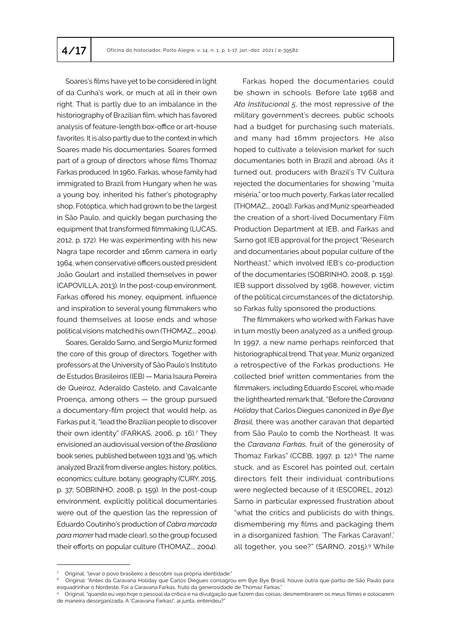Soares's films have yet to be considered in light of da Cunha's work, or much at all in their own right. That is partly due to an imbalance in the historiography of Brazilian film, which has favored analysis of feature-length box-office or art-house favorites. It is also partly due to the context in which Soares made his documentaries. Soares formed part of a group of directors whose films Thomaz Farkas produced. In 1960, Farkas, whose family had immigrated to Brazil from Hungary when he was a young boy, inherited his father's photography shop, Fotóptica, which had grown to be the largest in São Paulo, and quickly began purchasing the equipment that transformed filmmaking (LUCAS, 2012, p. 172). He was experimenting with his new Nagra tape recorder and 16mm camera in early 1964, when conservative officers ousted president João Goulart and installed themselves in power (CAPOVILLA, 2013). In the post-coup environment, Farkas offered his money, equipment, influence and inspiration to several young filmmakers who found themselves at loose ends and whose political visions matched his own (THOMAZ…, 2004).

Soares, Geraldo Sarno, and Sergio Muniz formed the core of this group of directors. Together with professors at the University of São Paulo's Instituto de Estudos Brasileiros (IEB) — Maria Isaura Pereira de Queiroz, Aderaldo Castelo, and Cavalcante Proença, among others — the group pursued a documentary-film project that would help, as Farkas put it, "lead the Brazilian people to discover their own identity" (FARKAS, 2006, p. 16).<sup>7</sup> They envisioned an audiovisual version of the *Brasiliana*  book series, published between 1931 and '95, which analyzed Brazil from diverse angles: history, politics, economics; culture, botany, geography (CURY, 2015, p. 37; SOBRINHO, 2008, p. 159). In the post-coup environment, explicitly political documentaries were out of the question (as the repression of Eduardo Coutinho's production of *Cabra marcada para morrer* had made clear), so the group focused their efforts on popular culture (THOMAZ…, 2004).

Farkas hoped the documentaries could be shown in schools. Before late 1968 and *Ato Institucional 5*, the most repressive of the military government's decrees, public schools had a budget for purchasing such materials, and many had 16mm projectors. He also hoped to cultivate a television market for such documentaries both in Brazil and abroad. (As it turned out, producers with Brazil's TV Cultura rejected the documentaries for showing "muita miséria," or too much poverty, Farkas later recalled [THOMAZ…, 2004]). Farkas and Muniz spearheaded the creation of a short-lived Documentary Film Production Department at IEB, and Farkas and Sarno got IEB approval for the project "Research and documentaries about popular culture of the Northeast," which involved IEB's co-production of the documentaries (SOBRINHO, 2008, p. 159). IEB support dissolved by 1968, however, victim of the political circumstances of the dictatorship, so Farkas fully sponsored the productions.

The filmmakers who worked with Farkas have in turn mostly been analyzed as a unified group. In 1997, a new name perhaps reinforced that historiographical trend. That year, Muniz organized a retrospective of the Farkas productions. He collected brief written commentaries from the filmmakers, including Eduardo Escorel, who made the lighthearted remark that, "Before the *Caravana Holiday* that Carlos Diegues canonized in *Bye Bye Brasil,* there was another caravan that departed from São Paulo to comb the Northeast. It was the *Caravana Farkas,* fruit of the generosity of Thomaz Farkas" (CCBB, 1997, p. 12). $8$  The name stuck, and as Escorel has pointed out, certain directors felt their individual contributions were neglected because of it (ESCOREL, 2012). Sarno in particular expressed frustration about "what the critics and publicists do with things, dismembering my films and packaging them in a disorganized fashion, 'The Farkas Caravan!,' all together, you see?" (SARNO, 2015).9 While

<sup>7</sup> Original: "levar o povo brasileiro a descobrir sua própria identidade."

<sup>&</sup>lt;sup>8</sup> Original: "Antes da Caravana Holiday que Carlos Diegues consagrou em Bye Bye Brasil, houve outra que partiu de São Paulo para esquadrinhar o Nordeste. Foi a Caravana Farkas, fruto da generosidade de Thomaz Farkas."

<sup>9</sup> Original: "quando eu vejo hoje o pessoal da crítica e na divulgação que fazem das coisas, desmembrarem os meus filmes e colocarem de maneira desorganizada. A 'Caravana Farkas!', aí junta, entendeu?"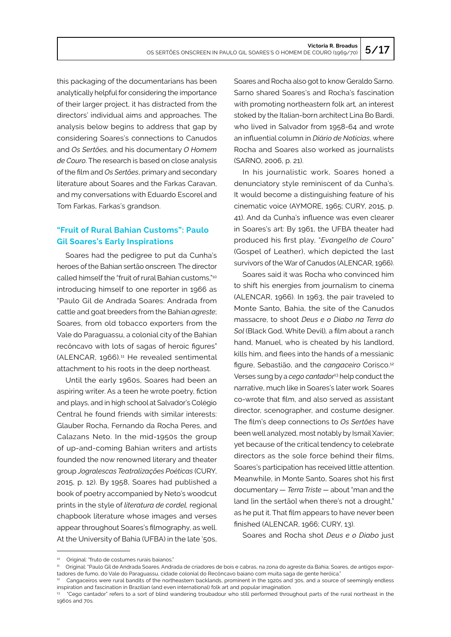this packaging of the documentarians has been analytically helpful for considering the importance of their larger project, it has distracted from the directors' individual aims and approaches. The analysis below begins to address that gap by considering Soares's connections to Canudos and *Os Sertões,* and his documentary *O Homem de Couro*. The research is based on close analysis of the film and *Os Sertões*, primary and secondary literature about Soares and the Farkas Caravan, and my conversations with Eduardo Escorel and Tom Farkas, Farkas's grandson.

## **"Fruit of Rural Bahian Customs": Paulo Gil Soares's Early Inspirations**

Soares had the pedigree to put da Cunha's heroes of the Bahian sertão onscreen*.* The director called himself the "fruit of rural Bahian customs,"<sup>10</sup> introducing himself to one reporter in 1966 as "Paulo Gil de Andrada Soares: Andrada from cattle and goat breeders from the Bahian *agreste*; Soares, from old tobacco exporters from the Vale do Paraguassu, a colonial city of the Bahian recôncavo with lots of sagas of heroic figures" (ALENCAR, 1966).<sup>11</sup> He revealed sentimental attachment to his roots in the deep northeast.

Until the early 1960s, Soares had been an aspiring writer. As a teen he wrote poetry, fiction and plays, and in high school at Salvador's Colégio Central he found friends with similar interests: Glauber Rocha, Fernando da Rocha Peres, and Calazans Neto. In the mid-1950s the group of up-and-coming Bahian writers and artists founded the now renowned literary and theater group *Jogralescas Teatralizações Poéticas* (CURY, 2015, p. 12). By 1958, Soares had published a book of poetry accompanied by Neto's woodcut prints in the style of *literatura de cordel,* regional chapbook literature whose images and verses appear throughout Soares's filmography, as well. At the University of Bahia (UFBA) in the late '50s,

Soares and Rocha also got to know Geraldo Sarno. Sarno shared Soares's and Rocha's fascination with promoting northeastern folk art*,* an interest stoked by the Italian-born architect Lina Bo Bardi, who lived in Salvador from 1958-64 and wrote an influential column in *Diário de Notícias*, where Rocha and Soares also worked as journalists (SARNO, 2006, p. 21).

In his journalistic work, Soares honed a denunciatory style reminiscent of da Cunha's. It would become a distinguishing feature of his cinematic voice (AYMORE, 1965; CURY, 2015, p. 41). And da Cunha's influence was even clearer in Soares's art: By 1961, the UFBA theater had produced his first play, "*Evangelho de Couro*" (Gospel of Leather), which depicted the last survivors of the War of Canudos (ALENCAR, 1966).

Soares said it was Rocha who convinced him to shift his energies from journalism to cinema (ALENCAR, 1966). In 1963, the pair traveled to Monte Santo, Bahia, the site of the Canudos massacre, to shoot *Deus e o Diabo na Terra do Sol* (Black God, White Devil)*,* a film about a ranch hand, Manuel, who is cheated by his landlord, kills him, and flees into the hands of a messianic figure, Sebastião, and the *cangaceiro* Corisco.12 Verses sung by a *cego cantador*<sup>13</sup> help conduct the narrative, much like in Soares's later work*.* Soares co-wrote that film, and also served as assistant director, scenographer, and costume designer. The film's deep connections to *Os Sertões* have been well analyzed, most notably by Ismail Xavier; yet because of the critical tendency to celebrate directors as the sole force behind their films, Soares's participation has received little attention. Meanwhile, in Monte Santo, Soares shot his first documentary — *Terra Triste —* about "man and the land lin the sertãol when there's not a drought." as he put it. That film appears to have never been finished (ALENCAR, 1966; CURY, 13).

Soares and Rocha shot *Deus e o Diabo* just

<sup>10</sup> Original: "fruto de costumes rurais baianos."

<sup>11</sup> Original: "Paulo Gil de Andrada Soares. Andrada de criadores de bois e cabras, na zona do agreste da Bahia; Soares, de antigos exportadores de fumo, do Vale do Paraguassu, cidade colonial do Recôncavo baiano com muita saga de gente heróica."

<sup>12</sup> Cangaceiros were rural bandits of the northeastern backlands, prominent in the 1920s and 30s, and a source of seemingly endless inspiration and fascination in Brazilian (and even international) folk art and popular imagination.

<sup>13 &</sup>quot;Cego cantador" refers to a sort of blind wandering troubadour who still performed throughout parts of the rural northeast in the 1960s and 70s.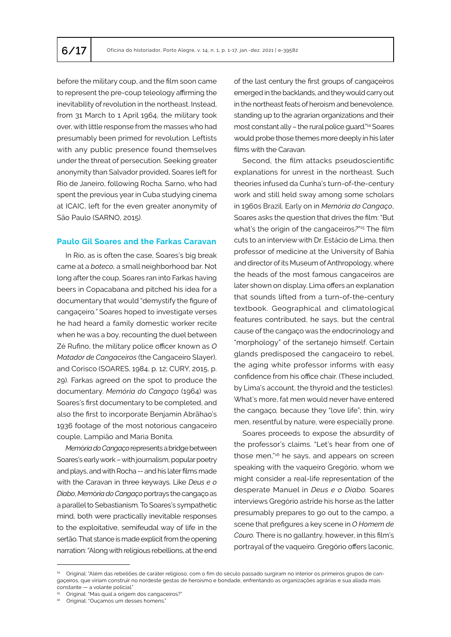before the military coup, and the film soon came to represent the pre-coup teleology affirming the inevitability of revolution in the northeast. Instead, from 31 March to 1 April 1964, the military took over, with little response from the masses who had presumably been primed for revolution. Leftists with any public presence found themselves under the threat of persecution. Seeking greater anonymity than Salvador provided, Soares left for Rio de Janeiro, following Rocha. Sarno, who had spent the previous year in Cuba studying cinema at ICAIC, left for the even greater anonymity of São Paulo (SARNO, 2015).

#### **Paulo Gil Soares and the Farkas Caravan**

In Rio, as is often the case, Soares's big break came at a *boteco,* a small neighborhood bar. Not long after the coup, Soares ran into Farkas having beers in Copacabana and pitched his idea for a documentary that would "demystify the figure of cangaçeiro*."* Soares hoped to investigate verses he had heard a family domestic worker recite when he was a boy, recounting the duel between Zé Rufino, the military police officer known as *O Matador de Cangaceiros* (the Cangaceiro Slayer), and Corisco (SOARES, 1984, p. 12; CURY, 2015, p. 29). Farkas agreed on the spot to produce the documentary. *Memória do Cangaço* (1964) was Soares's first documentary to be completed, and also the first to incorporate Benjamin Abrãhao's 1936 footage of the most notorious cangaceiro couple, Lampião and Maria Bonita.

*Mem*ó*ria do Cangaço* represents a bridge between Soares's early work – with journalism, popular poetry and plays, and with Rocha -- and his later films made with the Caravan in three keyways. Like *Deus e o Diabo*, *Mem*ó*ria do Cangaço* portrays the cangaçoas a parallel to Sebastianism. To Soares's sympathetic mind, both were practically inevitable responses to the exploitative, semifeudal way of life in the sertão. That stance is made explicit from the opening narration: "Along with religious rebellions, at the end of the last century the first groups of cangaçeiros emerged in the backlands, and they would carry out in the northeast feats of heroism and benevolence, standing up to the agrarian organizations and their most constant ally – the rural police guard."14 Soares would probe those themes more deeply in his later films with the Caravan.

Second, the film attacks pseudoscientific explanations for unrest in the northeast. Such theories infused da Cunha's turn-of-the-century work and still held sway among some scholars in 1960s Brazil. Early on in *Memória do Cangaço*, Soares asks the question that drives the film: "But what's the origin of the cangaceiros*?*" <sup>15</sup> The film cuts to an interview with Dr. Estácio de Lima, then professor of medicine at the University of Bahia and director of its Museum of Anthropology, where the heads of the most famous cangaceiros are later shown on display. Lima offers an explanation that sounds lifted from a turn-of-the-century textbook. Geographical and climatological features contributed, he says, but the central cause of the cangaço was the endocrinology and "morphology" of the sertanejo himself. Certain glands predisposed the cangaceiro to rebel, the aging white professor informs with easy confidence from his office chair. (These included, by Lima's account, the thyroid and the testicles). What's more, fat men would never have entered the cangaço*,* because they "love life"; thin, wiry men, resentful by nature, were especially prone.

Soares proceeds to expose the absurdity of the professor's claims. "Let's hear from one of those men,"16 he says, and appears on screen speaking with the vaqueiro Gregório, whom we might consider a real-life representation of the desperate Manuel in *Deus e o Diabo.* Soares interviews Gregório astride his horse as the latter presumably prepares to go out to the campo, a scene that prefigures a key scene in *O Homem de Couro.* There is no gallantry, however, in this film's portrayal of the vaqueiro. Gregório offers laconic,

<sup>14</sup> Original: "Além das rebeliões de caráter religioso, com o fim do século passado surgiram no interior os primeiros grupos de cangaçeiros, que viriam construir no nordeste gestas de heroísmo e bondade, enfrentando as organizações agrárias e sua aliada mais constante — a volante policial."

<sup>15</sup> Original: "Mas qual a origem dos cangaceiros?"

<sup>16</sup> Original: "Ouçamos um desses homens."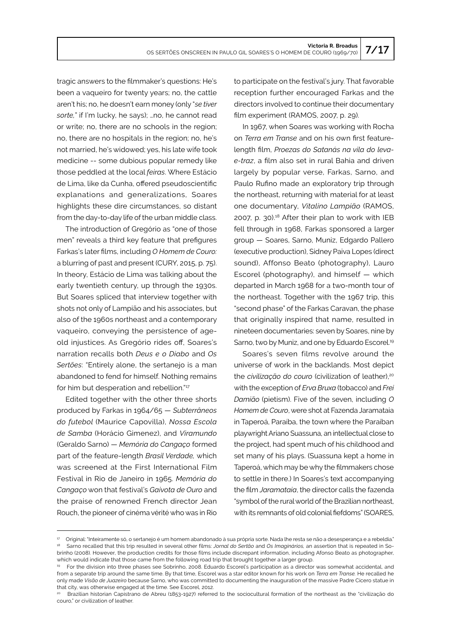tragic answers to the filmmaker's questions: He's been a vaqueiro for twenty years; no, the cattle aren't his; no, he doesn't earn money (only "*se tiver sorte,*" if I'm lucky, he says); …no, he cannot read or write; no, there are no schools in the region; no, there are no hospitals in the region; no, he's not married, he's widowed; yes, his late wife took medicine -- some dubious popular remedy like those peddled at the local *feiras*. Where Estácio de Lima, like da Cunha, offered pseudoscientific explanations and generalizations, Soares highlights these dire circumstances, so distant from the day-to-day life of the urban middle class.

The introduction of Gregório as "one of those men" reveals a third key feature that prefigures Farkas's later films, including *O Homem de Couro:* a blurring of past and present (CURY, 2015, p. 75). In theory, Estácio de Lima was talking about the early twentieth century, up through the 1930s. But Soares spliced that interview together with shots not only of Lampião and his associates, but also of the 1960s northeast and a contemporary vaqueiro, conveying the persistence of ageold injustices. As Gregório rides off, Soares's narration recalls both *Deus e o Diabo* and *Os Sertões*: "Entirely alone, the sertanejo is a man abandoned to fend for himself. Nothing remains for him but desperation and rebellion."<sup>17</sup>

Edited together with the other three shorts produced by Farkas in 1964/65 — *Subterrâneos do futebol* (Maurice Capovilla), *Nossa Escola de Samba* (Horácio Gimenez), and *Viramundo* (Geraldo Sarno) — *Memória do Cangaço* formed part of the feature-length *Brasil Verdade,* which was screened at the First International Film Festival in Rio de Janeiro in 1965. *Memória do Cangaço* won that festival's *Gaivota de Ouro* and the praise of renowned French director Jean Rouch, the pioneer of cinéma vérité who was in Rio

to participate on the festival's jury. That favorable reception further encouraged Farkas and the directors involved to continue their documentary film experiment (RAMOS, 2007, p. 29).

In 1967, when Soares was working with Rocha on *Terra em Transe* and on his own first featurelength film, *Proezas do Satanás na vila do levae-traz*, a film also set in rural Bahia and driven largely by popular verse, Farkas, Sarno, and Paulo Rufino made an exploratory trip through the northeast, returning with material for at least one documentary, *Vitalino Lampião* (RAMOS, 2007, p. 30).18 After their plan to work with IEB fell through in 1968, Farkas sponsored a larger group — Soares, Sarno, Muniz, Edgardo Pallero (executive production), Sidney Paiva Lopes (direct sound), Affonso Beato (photography), Lauro Escorel (photography), and himself — which departed in March 1968 for a two-month tour of the northeast. Together with the 1967 trip, this "second phase" of the Farkas Caravan, the phase that originally inspired that name, resulted in nineteen documentaries: seven by Soares, nine by Sarno, two by Muniz, and one by Eduardo Escorel.<sup>19</sup>

Soares's seven films revolve around the universe of work in the backlands. Most depict the *civilização do couro* (civilization of leather),<sup>20</sup> with the exception of *Erva Bruxa* (tobacco) and *Frei Damião* (pietism). Five of the seven, including *O Homem de Couro*, were shot at Fazenda Jaramataia in Taperoá, Paraíba, the town where the Paraíban playwright Ariano Suassuna, an intellectual close to the project, had spent much of his childhood and set many of his plays. (Suassuna kept a home in Taperoá, which may be why the filmmakers chose to settle in there.) In Soares's text accompanying the film *Jaramataia*, the director calls the fazenda "symbol of the rural world of the Brazilian northeast, with its remnants of old colonial fiefdoms" (SOARES,

<sup>17</sup> Original: "Inteiramente só, o sertanejo é um homem abandonado à sua própria sorte. Nada lhe resta se não a desesperança e a rebeldia." 18 Sarno recalled that this trip resulted in several other films: *Jornal do Sertão* and *Os Imaginários,* an assertion that is repeated in Sobrinho (2008)*.* However, the production credits for those films include discrepant information, including Afonso Beato as photographer, which would indicate that those came from the following road trip that brought together a larger group.

<sup>19</sup> For the division into three phases see Sobrinho, 2008. Eduardo Escorel's participation as a director was somewhat accidental, and from a separate trip around the same time. By that time, Escorel was a star editor known for his work on *Terra em Transe.* He recalled he only made *Visão de Juazeiro* because Sarno, who was committed to documenting the inauguration of the massive Padre Cícero statue in that city, was otherwise engaged at the time. See Escorel, 2012.

<sup>20</sup> Brazilian historian Capistrano de Abreu (1853-1927) referred to the sociocultural formation of the northeast as the "civilização do couro," or civilization of leather.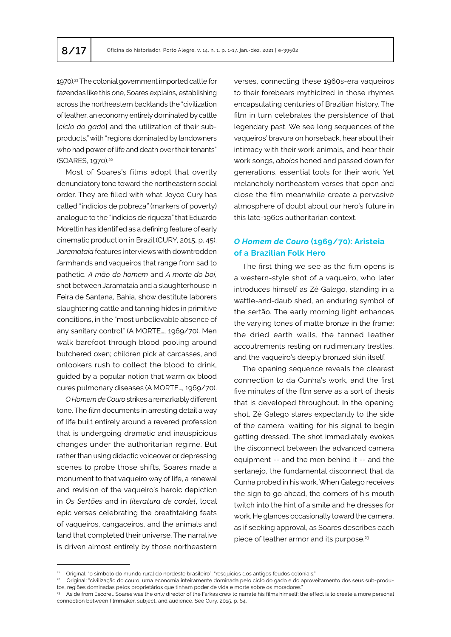1970).<sup>21</sup> The colonial government imported cattle for fazendas like this one, Soares explains, establishing across the northeastern backlands the "civilization of leather, an economy entirely dominated by cattle [*ciclo do gado*] and the utilization of their subproducts," with "regions dominated by landowners who had power of life and death over their tenants" (SOARES, 1970).<sup>22</sup>

Most of Soares's films adopt that overtly denunciatory tone toward the northeastern social order. They are filled with what Joyce Cury has called "indícios de pobreza*"* (markers of poverty) analogue to the "indícios de riqueza" that Eduardo Morettin has identified as a defining feature of early cinematic production in Brazil (CURY, 2015, p. 45). *Jaramataia* features interviews with downtrodden farmhands and vaqueiros that range from sad to pathetic. *A mão do homem* and *A morte do boi,*  shot between Jaramataia and a slaughterhouse in Feira de Santana, Bahia, show destitute laborers slaughtering cattle and tanning hides in primitive conditions, in the "most unbelievable absence of any sanitary control" (A MORTE…, 1969/70). Men walk barefoot through blood pooling around butchered oxen; children pick at carcasses, and onlookers rush to collect the blood to drink, guided by a popular notion that warm ox blood cures pulmonary diseases (A MORTE…, 1969/70).

*O Homem de Couro* strikes a remarkably different tone. The film documents in arresting detail a way of life built entirely around a revered profession that is undergoing dramatic and inauspicious changes under the authoritarian regime. But rather than using didactic voiceover or depressing scenes to probe those shifts, Soares made a monument to that vaqueiro way of life, a renewal and revision of the vaqueiro's heroic depiction in *Os Sertões* and in *literatura de cordel*, local epic verses celebrating the breathtaking feats of vaqueiros, cangaceiros, and the animals and land that completed their universe. The narrative is driven almost entirely by those northeastern

verses, connecting these 1960s-era vaqueiros to their forebears mythicized in those rhymes encapsulating centuries of Brazilian history. The film in turn celebrates the persistence of that legendary past. We see long sequences of the vaqueiros' bravura on horseback, hear about their intimacy with their work animals, and hear their work songs, *aboios* honed and passed down for generations, essential tools for their work. Yet melancholy northeastern verses that open and close the film meanwhile create a pervasive atmosphere of doubt about our hero's future in this late-1960s authoritarian context.

#### *O Homem de Couro* **(1969/70): Aristeia of a Brazilian Folk Hero**

The first thing we see as the film opens is a western-style shot of a vaqueiro, who later introduces himself as Zé Galego, standing in a wattle-and-daub shed, an enduring symbol of the sertão*.* The early morning light enhances the varying tones of matte bronze in the frame: the dried earth walls, the tanned leather accoutrements resting on rudimentary trestles, and the vaqueiro's deeply bronzed skin itself.

The opening sequence reveals the clearest connection to da Cunha's work, and the first five minutes of the film serve as a sort of thesis that is developed throughout. In the opening shot, Zé Galego stares expectantly to the side of the camera, waiting for his signal to begin getting dressed. The shot immediately evokes the disconnect between the advanced camera equipment -- and the men behind it -- and the sertanejo, the fundamental disconnect that da Cunha probed in his work. When Galego receives the sign to go ahead, the corners of his mouth twitch into the hint of a smile and he dresses for work. He glances occasionally toward the camera, as if seeking approval, as Soares describes each piece of leather armor and its purpose.<sup>23</sup>

<sup>&</sup>lt;sup>21</sup> Original: "o símbolo do mundo rural do nordeste brasileiro"; "resquícios dos antigos feudos coloniais."

<sup>22</sup> Original: "civilização do couro, uma economia inteiramente dominada pelo ciclo do gado e do aproveitamento dos seus sub-produtos, regiões dominadas pelos proprietários que tinham poder de vida e morte sobre os moradores."

<sup>23</sup> Aside from Escorel, Soares was the only director of the Farkas crew to narrate his films himself; the effect is to create a more personal connection between filmmaker, subject, and audience. See Cury, 2015, p. 64.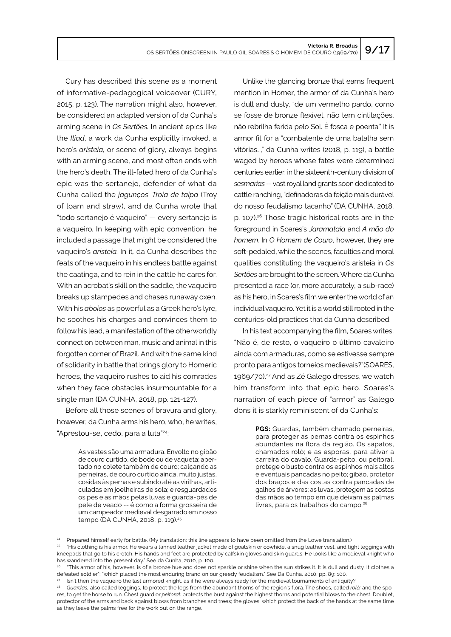Cury has described this scene as a moment of informative-pedagogical voiceover (CURY, 2015, p. 123). The narration might also, however, be considered an adapted version of da Cunha's arming scene in *Os Sertões.* In ancient epics like the *Iliad*, a work da Cunha explicitly invoked, a hero's *aristeia,* or scene of glory, always begins with an arming scene, and most often ends with the hero's death. The ill-fated hero of da Cunha's epic was the sertanejo, defender of what da Cunha called the *jagunços*' *Troia de taipa* (Troy of loam and straw), and da Cunha wrote that "todo sertanejo é vaqueiro" — every sertanejo is a vaqueiro*.* In keeping with epic convention, he included a passage that might be considered the vaqueiro's *aristeia.* In it*,* da Cunha describes the feats of the vaqueiro in his endless battle against the caatinga, and to rein in the cattle he cares for. With an acrobat's skill on the saddle, the vaqueiro breaks up stampedes and chases runaway oxen. With his *aboios* as powerful as a Greek hero's lyre, he soothes his charges and convinces them to follow his lead, a manifestation of the otherworldly connection between man, music and animal in this forgotten corner of Brazil. And with the same kind of solidarity in battle that brings glory to Homeric heroes, the vaqueiro rushes to aid his comrades when they face obstacles insurmountable for a single man (DA CUNHA, 2018, pp. 121-127).

Before all those scenes of bravura and glory, however, da Cunha arms his hero, who, he writes, "Aprestou-se, cedo, para a luta"24:

> As vestes são uma armadura. Envolto no gibão de couro curtido, de bode ou de vaqueta; apertado no colete também de couro; calçando as perneiras, de couro curtido ainda, muito justas, cosidas às pernas e subindo até as virilhas, articuladas em joelheiras de sola; e resguardados os pés e as mãos pelas luvas e guarda-pés de pele de veado -- é como a forma grosseira de um campeador medieval desgarrado em nosso tempo (DA CUNHA, 2018, p. 119).<sup>25</sup>

Unlike the glancing bronze that earns frequent mention in Homer, the armor of da Cunha's hero is dull and dusty, "de um vermelho pardo, como se fosse de bronze flexível, não tem cintilações, não rebrilha ferida pelo Sol. É fosca e poenta." It is armor fit for a "combatente de uma batalha sem vitórias…," da Cunha writes (2018, p. 119), a battle waged by heroes whose fates were determined centuries earlier, in the sixteenth-century division of *sesmarias* -- vast royal land grants soon dedicated to cattle ranching, "definadoras da feição mais durável do nosso feudalismo tacanho" (DA CUNHA, 2018, p. 107).26 Those tragic historical roots are in the foreground in Soares's *Jaramataia* and *A mão do homem.* In *O Homem de Couro*, however, they are soft-pedaled, while the scenes, faculties and moral qualities constituting the vaqueiro's aristeia in *Os Sertões* are brought to the screen. Where da Cunha presented a race (or, more accurately, a sub-race) as his hero, in Soares's film we enter the world of an individual vaqueiro. Yet it is a world still rooted in the centuries-old practices that da Cunha described.

In his text accompanying the film, Soares writes, "Não é, de resto, o vaqueiro o último cavaleiro ainda com armaduras, como se estivesse sempre pronto para antigos torneios medievais?"(SOARES, 1969/70).<sup>27</sup> And as Zé Galego dresses, we watch him transform into that epic hero. Soares's narration of each piece of "armor" as Galego dons it is starkly reminiscent of da Cunha's:

> **PGS:** Guardas, também chamado perneiras, para proteger as pernas contra os espinhos abundantes na flora da região. Os sapatos, chamados roló; e as esporas, para ativar a carreira do cavalo. Guarda-peito, ou peitoral, protege o busto contra os espinhos mais altos e eventuais pancadas no peito; gibão, protetor dos braços e das costas contra pancadas de galhos de árvores; as luvas, protegem as costas das mãos ao tempo em que deixam as palmas livres, para os trabalhos do campo.<sup>26</sup>

Prepared himself early for battle. (My translation; this line appears to have been omitted from the Lowe translation.)

<sup>&</sup>lt;sup>25</sup> "His clothing is his armor. He wears a tanned leather jacket made of goatskin or cowhide, a snug leather vest, and tight leggings with kneepads that go to his crotch. His hands and feet are protected by calfskin gloves and skin guards. He looks like a medieval knight who has wandered into the present day." See da Cunha, 2010, p. 100.

<sup>26</sup> "This armor of his, however, is of a bronze hue and does not sparkle or shine when the sun strikes it. It is dull and dusty. It clothes a defeated soldier"; "which placed the most enduring brand on our greedy feudalism." See Da Cunha, 2010, pp. 89; 100.

<sup>&</sup>lt;sup>27</sup> Isn't then the vaqueiro the last armored knight, as if he were always ready for the medieval tournaments of antiquity?

<sup>28</sup> *Guardas,* also called leggings, to protect the legs from the abundant thorns of the region's flora. The shoes, called *roló;* and the spores, to get the horse to run. Chest guard or *peitoral:* protects the bust against the highest thorns and potential blows to the chest. Doublet, protector of the arms and back against blows from branches and trees; the gloves, which protect the back of the hands at the same time as they leave the palms free for the work out on the range.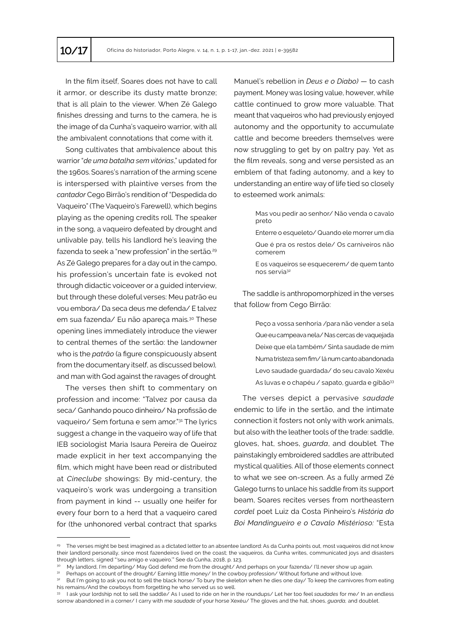In the film itself, Soares does not have to call it armor, or describe its dusty matte bronze; that is all plain to the viewer. When Zé Galego finishes dressing and turns to the camera, he is the image of da Cunha's vaqueiro warrior, with all the ambivalent connotations that come with it.

Song cultivates that ambivalence about this warrior "*de uma batalha sem vitórias*," updated for the 1960s.Soares's narration of the arming scene is interspersed with plaintive verses from the *cantador* Cego Birrão's rendition of "Despedida do Vaqueiro" (The Vaqueiro's Farewell), which begins playing as the opening credits roll. The speaker in the song, a vaqueiro defeated by drought and unlivable pay, tells his landlord he's leaving the fazenda to seek a "new profession" in the sertão*.* 29 As Zé Galego prepares for a day out in the campo, his profession's uncertain fate is evoked not through didactic voiceover or a guided interview, but through these doleful verses: Meu patrão eu vou embora/ Da seca deus me defenda/ E talvez em sua fazenda/ Eu não apareça mais*.* <sup>30</sup> These opening lines immediately introduce the viewer to central themes of the sertão: the landowner who is the *patrão* (a figure conspicuously absent from the documentary itself, as discussed below)*,* and man with God against the ravages of drought*.* 

The verses then shift to commentary on profession and income: "Talvez por causa da seca/ Ganhando pouco dinheiro/ Na profissão de vaqueiro/ Sem fortuna e sem amor."31 The lyrics suggest a change in the vaqueiro way of life that IEB sociologist Maria Isaura Pereira de Queiroz made explicit in her text accompanying the film, which might have been read or distributed at *Cineclube* showings: By mid-century, the vaqueiro's work was undergoing a transition from payment in kind -- usually one heifer for every four born to a herd that a vaqueiro cared for (the unhonored verbal contract that sparks

Manuel's rebellion in *Deus e o Diabo)* — to cash payment. Money was losing value, however, while cattle continued to grow more valuable. That meant that vaqueiros who had previously enjoyed autonomy and the opportunity to accumulate cattle and become breeders themselves were now struggling to get by on paltry pay. Yet as the film reveals, song and verse persisted as an emblem of that fading autonomy, and a key to understanding an entire way of life tied so closely to esteemed work animals:

> Mas vou pedir ao senhor/ Não venda o cavalo preto

> Enterre o esqueleto/ Quando ele morrer um dia Que é pra os restos dele/ Os carniveiros não comerem

The saddle is anthropomorphized in the verses that follow from Cego Birrão:

> Peço a vossa senhoria /para não vender a sela Que eu campeava nela/ Nas cercas de vaquejada Deixe que ela também/ Sinta saudade de mim Numa tristeza sem fim/ lá num canto abandonada Levo saudade guardada/ do seu cavalo Xexéu As luvas e o chapéu / sapato, guarda e gibão<sup>33</sup>

The verses depict a pervasive *saudade* endemic to life in the sertão, and the intimate connection it fosters not only with work animals, but also with the leather tools of the trade: saddle, gloves, hat, shoes, *guarda*, and doublet*.* The painstakingly embroidered saddles are attributed mystical qualities. All of those elements connect to what we see on-screen. As a fully armed Zé Galego turns to unlace his saddle from its support beam, Soares recites verses from northeastern *cordel* poet Luiz da Costa Pinheiro's *História do Boi Mandingueiro e o Cavalo Mistérioso:* "Esta

E os vaqueiros se esquecerem/ de quem tanto nos servia<sup>32</sup>

<sup>29</sup> The verses might be best imagined as a dictated letter to an absentee landlord: As da Cunha points out, most vaqueiros did not know their landlord personally, since most fazendeiros lived on the coast; the vaqueiros, da Cunha writes, communicated joys and disasters through letters, signed "'seu amigo e vaqueiro.'" See da Cunha, 2018, p. 123.

<sup>30</sup> My landlord, I'm departing/ May God defend me from the drought/ And perhaps on your fazenda/ I'll never show up again.

Perhaps on account of the drought/ Earning little money/ In the cowboy profession/ Without fortune and without love.

<sup>&</sup>lt;sup>32</sup> But I'm going to ask you not to sell the black horse/ To bury the skeleton when he dies one day/ To keep the carnivores from eating his remains/And the cowboys from forgetting he who served us so well.

<sup>33</sup> I ask your lordship not to sell the saddle/ As I used to ride on her in the roundups/ Let her too feel *saudades* for me/ In an endless sorrow abandoned in a corner/ I carry with me *saudade* of your horse Xexéu/ The gloves and the hat, shoes, *guarda,* and doublet.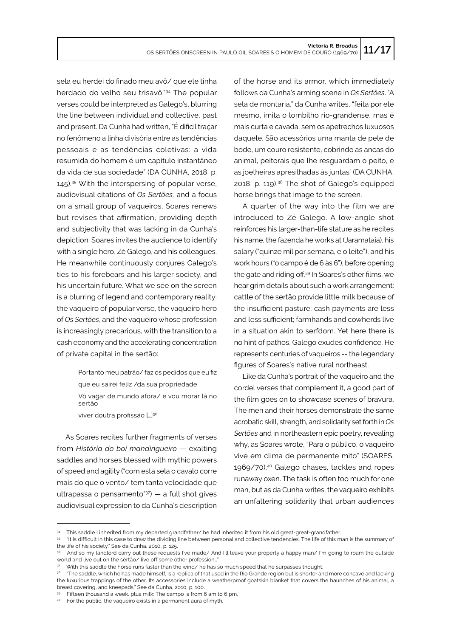sela eu herdei do finado meu avô/ que ele tinha herdado do velho seu trisavô."34 The popular verses could be interpreted as Galego's, blurring the line between individual and collective, past and present. Da Cunha had written, "É dificil traçar no fenômeno a linha divisória entre as tendências pessoais e as tendências coletivas: a vida resumida do homem é um capítulo instantâneo da vida de sua sociedade" (DA CUNHA, 2018, p. 145).35 With the interspersing of popular verse, audiovisual citations of *Os Sertões,* and a focus on a small group of vaqueiros, Soares renews but revises that affirmation, providing depth and subjectivity that was lacking in da Cunha's depiction. Soares invites the audience to identify with a single hero, Zé Galego, and his colleagues. He meanwhile continuously conjures Galego's ties to his forebears and his larger society, and his uncertain future. What we see on the screen is a blurring of legend and contemporary reality: the vaqueiro of popular verse, the vaqueiro hero of *Os Sertões*, and the vaqueiro whose profession is increasingly precarious, with the transition to a cash economy and the accelerating concentration of private capital in the sertão:

> Portanto meu patrão/ faz os pedidos que eu fiz que eu sairei feliz /da sua propriedade Vô vagar de mundo afora/ e vou morar lá no sertão viver doutra profissão […]36

As Soares recites further fragments of verses from *História do boi mandingueiro* — exalting saddles and horses blessed with mythic powers of speed and agility ("com esta sela o cavalo corre mais do que o vento/ tem tanta velocidade que ultrapassa o pensamento" $37$ ) — a full shot gives audiovisual expression to da Cunha's description

of the horse and its armor, which immediately follows da Cunha's arming scene in *Os Sertões*. "A sela de montaria," da Cunha writes, "feita por ele mesmo, imita o lombilho rio-grandense, mas é mais curta e cavada, sem os apetrechos luxuosos daquele. São acessórios uma manta de pele de bode, um couro resistente, cobrindo as ancas do animal, peitorais que lhe resguardam o peito, e as joelheiras apresilhadas às juntas" (DA CUNHA, 2018, p. 119).38 The shot of Galego's equipped horse brings that image to the screen.

A quarter of the way into the film we are introduced to Zé Galego. A low-angle shot reinforces his larger-than-life stature as he recites his name, the fazenda he works at (Jaramataia), his salary ("quinze mil por semana, e o leite"), and his work hours (*"*o campo é de 6 às 6"), before opening the gate and riding off.39 In Soares's other films, we hear grim details about such a work arrangement: cattle of the sertão provide little milk because of the insufficient pasture; cash payments are less and less sufficient; farmhands and cowherds live in a situation akin to serfdom. Yet here there is no hint of pathos. Galego exudes confidence. He represents centuries of vaqueiros -- the legendary figures of Soares's native rural northeast.

Like da Cunha's portrait of the vaqueiro and the cordel verses that complement it, a good part of the film goes on to showcase scenes of bravura. The men and their horses demonstrate the same acrobatic skill, strength, and solidarity set forth in *Os Sertões* and in northeastern epic poetry, revealing why, as Soares wrote, "Para o público, o vaqueiro vive em clima de permanente mito" (SOARES, 1969/70).40 Galego chases, tackles and ropes runaway oxen. The task is often too much for one man, but as da Cunha writes, the vaqueiro exhibits an unfaltering solidarity that urban audiences

This saddle I inherited from my departed grandfather/ he had inherited it from his old great-great-grandfather.

<sup>35 &</sup>quot;It is difficult in this case to draw the dividing line between personal and collective tendencies. The life of this man is the summary of the life of his society." See da Cunha, 2010, p. 125.

And so my landlord carry out these requests I've made/ And I'll leave your property a happy man/ I'm going to roam the outside world and live out on the sertão/ live off some other profession..."

With this saddle the horse runs faster than the wind/ he has so much speed that he surpasses thought.

<sup>38 &</sup>quot;The saddle, which he has made himself, is a replica of that used in the Rio Grande region but is shorter and more concave and lacking the luxurious trappings of the other. Its accessories include a weatherproof goatskin blanket that covers the haunches of his animal, a breast covering, and kneepads." See da Cunha, 2010, p. 100.

<sup>39</sup> Fifteen thousand a week, plus milk; The campo is from 6 am to 6 pm.

<sup>40</sup> For the public, the vaqueiro exists in a permanent aura of myth*.*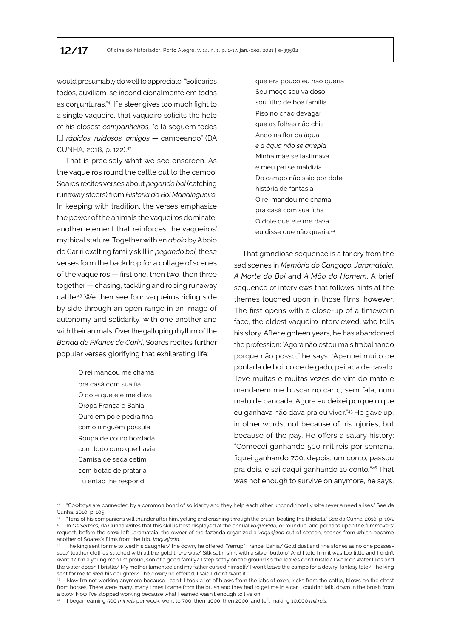would presumably do well to appreciate: "Solidários todos, auxiliam-se incondicionalmente em todas as conjunturas."41 If a steer gives too much fight to a single vaqueiro, that vaqueiro solicits the help of his closest *companheiros,* "e lá seguem todos [...] *rápidos, ruidosos, amigos* — campeando" (DA CUNHA, 2018, p. 122).<sup>42</sup>

That is precisely what we see onscreen. As the vaqueiros round the cattle out to the campo, Soares recites verses about *pegando boi* (catching runaway steers) from *Historia do Boi Mandingueiro*. In keeping with tradition, the verses emphasize the power of the animals the vaqueiros dominate, another element that reinforces the vaqueiros' mythical stature. Together with an *aboio* by Aboio de Cariri exalting family skill in *pegando boi,* these verses form the backdrop for a collage of scenes of the vaqueiros — first one, then two, then three together — chasing, tackling and roping runaway cattle.43 We then see four vaqueiros riding side by side through an open range in an image of autonomy and solidarity, with one another and with their animals. Over the galloping rhythm of the *Banda de Pífanos de Cariri*, Soares recites further popular verses glorifying that exhilarating life:

> O rei mandou me chama pra casá com sua fia O dote que ele me dava Or*ó*pa França e Bahia Ouro em pó e pedra fina como ninguém possuía Roupa de couro bordada com todo ouro que havia Camisa de seda cetim com botão de prataria Eu então lhe respondi

que era pouco eu não queria Sou moço sou vaidoso sou filho de boa família Piso no chão devagar que as folhas não chia Ando na flor da água *e a água não se arrepia* Minha mãe se lastimava e meu pai se maldizia Do campo não saio por dote história de fantasia O rei mandou me chama pra casá com sua filha O dote que ele me dava eu disse que não queria.<sup>44</sup>

That grandiose sequence is a far cry from the sad scenes in *Memória do Cangaço, Jaramataia, A Morte do Boi* and *A Mão do Homem*. A brief sequence of interviews that follows hints at the themes touched upon in those films, however. The first opens with a close-up of a timeworn face, the oldest vaqueiro interviewed, who tells his story. After eighteen years, he has abandoned the profession: "Agora não estou mais trabalhando porque não posso*,*" he says. "Apanhei muito de pontada de boi, coice de gado, peitada de cavalo. Teve muitas e muitas vezes de vim do mato e mandarem me buscar no carro, sem fala, num mato de pancada. Agora eu deixei porque o que eu ganhava não dava pra eu viver."45 He gave up, in other words, not because of his injuries, but because of the pay. He offers a salary history: "Comecei ganhando 500 mil reis por semana, fiquei ganhando 700, depois, um conto, passou pra dois, e sai daqui ganhando 10 conto*.*" <sup>46</sup> That was not enough to survive on anymore, he says,

<sup>41</sup> "Cowboys are connected by a common bond of solidarity and they help each other unconditionally whenever a need arises." See da Cunha, 2010, p. 105.

<sup>42</sup> "Tens of his companions will thunder after him, yelling and crashing through the brush, beating the thickets." See da Cunha, 2010, p. 105. 43 In *Os Sertões,* da Cunha writes that this skill is best displayed at the annual *vaquejada,* or roundup, and perhaps upon the filmmakers' request, before the crew left Jaramataia, the owner of the fazenda organized a *vaquejada* out of season, scenes from which became another of Soares's films from the trip, *Vaquejada.*

<sup>44</sup> The king sent for me to wed his daughter/ the dowry he offered: 'Yerrup,' France, Bahia/ Gold dust and fine stones as no one possessed/ leather clothes stitched with all the gold there was/ Silk satin shirt with a silver button/ And I told him it was too little and I didn't want it/ I'm a young man I'm proud, son of a good family/ I step softly on the ground so the leaves don't rustle/ I walk on water lilies and the water doesn't bristle/ My mother lamented and my father cursed himself/ I won't leave the campo for a dowry, fantasy tale/ The king sent for me to wed his daughter/ The dowry he offered, I said I didn't want it.

<sup>45</sup> Now I'm not working anymore because I can't. I took a lot of blows from the jabs of oxen, kicks from the cattle, blows on the chest from horses. There were many, many times I came from the brush and they had to get me in a car, I couldn't talk, down in the brush from a blow. Now I've stopped working because what I earned wasn't enough to live on.

<sup>46</sup> I began earning 500 *mil reis* per week, went to 700, then, 1000, then 2000, and left making 10,000 *mil reis.*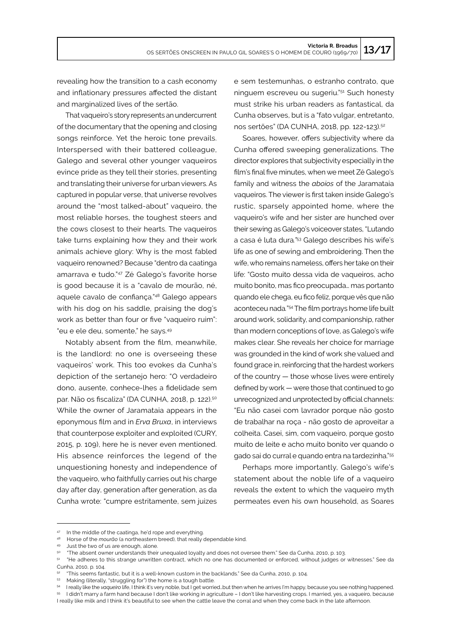revealing how the transition to a cash economy and inflationary pressures affected the distant and marginalized lives of the sertão.

That vaqueiro's story represents an undercurrent of the documentary that the opening and closing songs reinforce. Yet the heroic tone prevails. Interspersed with their battered colleague, Galego and several other younger vaqueiros evince pride as they tell their stories, presenting and translating their universe for urban viewers. As captured in popular verse, that universe revolves around the "most talked-about" vaqueiro, the most reliable horses, the toughest steers and the cows closest to their hearts. The vaqueiros take turns explaining how they and their work animals achieve glory: Why is the most fabled vaqueiro renowned? Because "dentro da caatinga amarrava e tudo."47 Zé Galego's favorite horse is good because it is a "cavalo de mourão, né, aquele cavalo de confiança."48 Galego appears with his dog on his saddle, praising the dog's work as better than four or five "vaqueiro ruim": "eu e ele deu, somente," he says.<sup>49</sup>

Notably absent from the film, meanwhile, is the landlord: no one is overseeing these vaqueiros' work. This too evokes da Cunha's depiction of the sertanejo hero: "O verdadeiro dono, ausente, conhece-lhes a fidelidade sem par. Não os fiscaliza" (DA CUNHA, 2018, p. 122).<sup>50</sup> While the owner of Jaramataia appears in the eponymous film and in *Erva Bruxa*, in interviews that counterpose exploiter and exploited (CURY, 2015, p. 109), here he is never even mentioned. His absence reinforces the legend of the unquestioning honesty and independence of the vaqueiro, who faithfully carries out his charge day after day, generation after generation, as da Cunha wrote: "cumpre estritamente, sem juizes

e sem testemunhas, o estranho contrato, que ninguem escreveu ou sugeriu."51 Such honesty must strike his urban readers as fantastical, da Cunha observes, but is a "fato vulgar, entretanto, nos sertões" (DA CUNHA, 2018, pp. 122-123).<sup>52</sup>

Soares, however, offers subjectivity where da Cunha offered sweeping generalizations. The director explores that subjectivity especially in the film's final five minutes, when we meet Zé Galego's family and witness the *aboios* of the Jaramataia vaqueiros. The viewer is first taken inside Galego's rustic, sparsely appointed home, where the vaqueiro's wife and her sister are hunched over their sewing as Galego's voiceover states, "Lutando a casa é luta dura*."*53 Galego describes his wife's life as one of sewing and embroidering. Then the wife, who remains nameless, offers her take on their life: "Gosto muito dessa vida de vaqueiros, acho muito bonito, mas fico preocupada… mas portanto quando ele chega, eu fico feliz, porque vês que não aconteceu nada*.*" <sup>54</sup> The film portrays home life built around work, solidarity, and companionship, rather than modern conceptions of love, as Galego's wife makes clear. She reveals her choice for marriage was grounded in the kind of work she valued and found grace in, reinforcing that the hardest workers of the country — those whose lives were entirely defined by work — were those that continued to go unrecognized and unprotected by official channels: "Eu não casei com lavrador porque não gosto de trabalhar na roça - não gosto de aproveitar a colheita. Casei, sim, com vaqueiro, porque gosto muito de leite e acho muito bonito ver quando o gado sai do curral e quando entra na tardezinha."<sup>55</sup>

Perhaps more importantly, Galego's wife's statement about the noble life of a vaqueiro reveals the extent to which the vaqueiro myth permeates even his own household, as Soares

<sup>47</sup> In the middle of the caatinga, he'd rope and everything.

<sup>48</sup> Horse of the *mourão* (a northeastern breed), that really dependable kind.

<sup>49</sup> Just the two of us are enough, alone.

<sup>50</sup> "The absent owner understands their unequaled loyalty and does not oversee them." See da Cunha, 2010, p. 103.

<sup>51</sup> "He adheres to this strange unwritten contract, which no one has documented or enforced, without judges or witnesses." See da Cunha, 2010, p. 104.

<sup>52</sup> "This seems fantastic, but it is a well-known custom in the backlands." See da Cunha, 2010, p. 104.

<sup>53</sup> Making (literally, "struggling for") the home is a tough battle.

<sup>54</sup> I really like the *vaqueiro* life, I think it's very noble, but I get worried…but then when he arrives I'm happy, because you see nothing happened.

<sup>55</sup> I didn't marry a farm hand because I don't like working in agriculture – I don't like harvesting crops. I married, yes, a vaqueiro, because I really like milk and I think it's beautiful to see when the cattle leave the corral and when they come back in the late afternoon.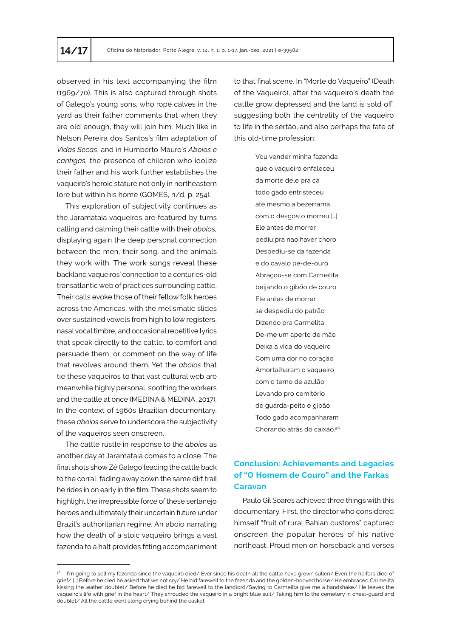observed in his text accompanying the film (1969/70). This is also captured through shots of Galego's young sons, who rope calves in the yard as their father comments that when they are old enough, they will join him. Much like in Nelson Pereira dos Santos's film adaptation of *Vidas Secas*, and in Humberto Mauro's *Aboios e cantigas,* the presence of children who idolize their father and his work further establishes the vaqueiro's heroic stature not only in northeastern lore but within his home (GOMES, n/d, p. 254).

This exploration of subjectivity continues as the Jaramataia vaqueiros are featured by turns calling and calming their cattle with their *aboios,*  displaying again the deep personal connection between the men, their song, and the animals they work with. The work songs reveal these backland vaqueiros' connection to a centuries-old transatlantic web of practices surrounding cattle. Their calls evoke those of their fellow folk heroes across the Americas, with the melismatic slides over sustained vowels from high to low registers, nasal vocal timbre, and occasional repetitive lyrics that speak directly to the cattle, to comfort and persuade them, or comment on the way of life that revolves around them. Yet the *aboios* that tie these vaqueiros to that vast cultural web are meanwhile highly personal, soothing the workers and the cattle at once (MEDINA & MEDINA, 2017). In the context of 1960s Brazilian documentary, these *aboios* serve to underscore the subjectivity of the vaqueiros seen onscreen.

The cattle rustle in response to the *aboios* as another day at Jaramataia comes to a close. The final shots show Zé Galego leading the cattle back to the corral, fading away down the same dirt trail he rides in on early in the film. These shots seem to highlight the irrepressible force of these sertanejo heroes and ultimately their uncertain future under Brazil's authoritarian regime. An aboio narrating how the death of a stoic vaqueiro brings a vast fazenda to a halt provides fitting accompaniment

to that final scene. In "Morte do Vaqueiro" (Death of the Vaqueiro), after the vaqueiro's death the cattle grow depressed and the land is sold off, suggesting both the centrality of the vaqueiro to life in the sertão, and also perhaps the fate of this old-time profession:

> Vou vender minha fazenda que o vaqueiro enfaleceu da morte dele pra cá todo gado entristeceu até mesmo a bezerrama com o desgosto morreu […] Ele antes de morrer pediu pra nao haver choro Despediu-se da fazenda e do cavalo p*é-*de-ouro Abraçou-se com Carmelita beijando o gib*ã*o de couro Ele antes de morrer se despediu do patrão Dizendo pra Carmelita De-me um aperto de mão Deixa a vida do vaqueiro Com uma dor no coração Amortalharam o vaqueiro com o terno de azulão Levando pro cemitério de guarda-peito e gibão Todo gado acompanharam Chorando atrás do caixão.<sup>56</sup>

# **Conclusion: Achievements and Legacies of "O Homem de Couro" and the Farkas Caravan**

Paulo Gil Soares achieved three things with this documentary. First, the director who considered himself "fruit of rural Bahian customs" captured onscreen the popular heroes of his native northeast. Proud men on horseback and verses

<sup>&</sup>lt;sup>56</sup> I'm going to sell my fazenda since the vaqueiro died/ Ever since his death all the cattle have grown sullen/ Even the heifers died of grief/ […] Before he died he asked that we not cry/ He bid farewell to the fazenda and the golden-hooved horse/ He embraced Carmelita kissing the leather doublet/ Before he died he bid farewell to the landlord/Saying to Carmelita give me a handshake/ He leaves the vaqueiro's life with grief in the heart/ They shrouded the vaqueiro in a bright blue suit/ Taking him to the cemetery in chest-guard and doublet*/* All the cattle went along crying behind the casket.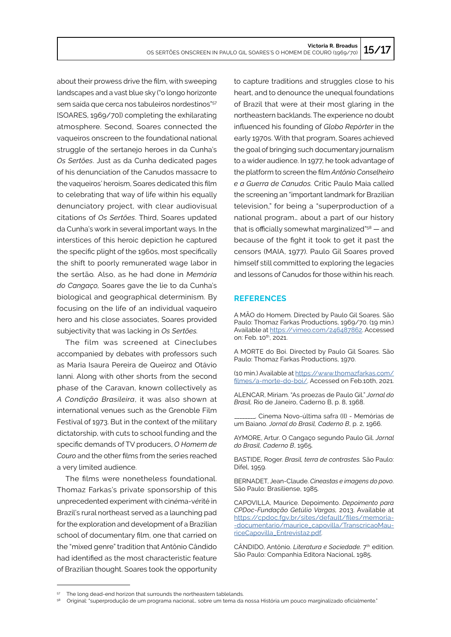about their prowess drive the film, with sweeping landscapes and a vast blue sky ("o longo horizonte sem saída que cerca nos tabuleiros nordestinos"<sup>57</sup> [SOARES, 1969/70]) completing the exhilarating atmosphere. Second, Soares connected the vaqueiros onscreen to the foundational national struggle of the sertanejo heroes in da Cunha's *Os Sertões*. Just as da Cunha dedicated pages of his denunciation of the Canudos massacre to the vaqueiros' heroism, Soares dedicated this film to celebrating that way of life within his equally denunciatory project, with clear audiovisual citations of *Os Sertões*. Third, Soares updated da Cunha's work in several important ways. In the interstices of this heroic depiction he captured the specific plight of the 1960s, most specifically the shift to poorly remunerated wage labor in the sertão*.* Also, as he had done in *Memória do Cangaço,* Soares gave the lie to da Cunha's biological and geographical determinism. By focusing on the life of an individual vaqueiro hero and his close associates, Soares provided subjectivity that was lacking in *Os Sertões.* 

The film was screened at Cineclubes accompanied by debates with professors such as Maria Isaura Pereira de Queiroz and Otávio Ianni. Along with other shorts from the second phase of the Caravan, known collectively as *A Condição Brasileira*, it was also shown at international venues such as the Grenoble Film Festival of 1973. But in the context of the military dictatorship, with cuts to school funding and the specific demands of TV producers, *O Homem de Couro* and the other films from the series reached a very limited audience.

The films were nonetheless foundational. Thomaz Farkas's private sponsorship of this unprecedented experiment with cin*é*ma-v*é*rité in Brazil's rural northeast served as a launching pad for the exploration and development of a Brazilian school of documentary film, one that carried on the "mixed genre" tradition that Antônio Cândido had identified as the most characteristic feature of Brazilian thought. Soares took the opportunity

to capture traditions and struggles close to his heart, and to denounce the unequal foundations of Brazil that were at their most glaring in the northeastern backlands. The experience no doubt influenced his founding of *Globo Repórter* in the early 1970s. With that program, Soares achieved the goal of bringing such documentary journalism to a wider audience. In 1977, he took advantage of the platform to screen the film *Antônio Conselheiro e a Guerra de Canudos.* Critic Paulo Maia called the screening an "important landmark for Brazilian television," for being a "superproduction of a national program… about a part of our history that is officially somewhat marginalized"<sup>58</sup> — and because of the fight it took to get it past the censors (MAIA, 1977). Paulo Gil Soares proved himself still committed to exploring the legacies and lessons of Canudos for those within his reach.

#### **REFERENCES**

A MÃO do Homem. Directed by Paulo Gil Soares. São Paulo: Thomaz Farkas Productions, 1969/70. (19 min.) Available at <https://vimeo.com/246487862>. Accessed on: Feb. 10<sup>th</sup>, 2021.

A MORTE do Boi. Directed by Paulo Gil Soares. São Paulo: Thomaz Farkas Productions, 1970.

(10 min.) Available at [https://www.thomazfarkas.com/](https://www.thomazfarkas.com/filmes/a-morte-do-boi/) [filmes/a-morte-do-boi/.](https://www.thomazfarkas.com/filmes/a-morte-do-boi/) Accessed on Feb.10th, 2021.

ALENCAR, Miriam. "As proezas de Paulo Gil." *Jornal do Brasil,* Rio de Janeiro, Caderno B, p. 8, 1968.

\_\_\_\_\_\_\_\_. Cinema Novo-última safra (II) - Memórias de um Baiano. *Jornal do Brasil, Caderno B*, p. 2, 1966.

AYMORE, Artur. O Cangaço segundo Paulo Gil. *Jornal do Brasil, Caderno B*, 1965.

BASTIDE, Roger. *Brasil, terra de contrastes.* São Paulo: Difel, 1959.

BERNADET, Jean-Claude. *Cineastas e imagens do povo*. São Paulo: Brasiliense, 1985.

CAPOVILLA, Maurice. Depoimento. *Depoimento para CPDoc-Fundação Getúlio Vargas,* 2013. Available at [https://cpdoc.fgv.br/sites/default/files/memoria](https://cpdoc.fgv.br/sites/default/files/memoria-documentario/maurice_capovilla/TranscricaoMauriceCapovilla_Entrevista2.pdf)- [-documentario/maurice\\_capovilla/TranscricaoMau](https://cpdoc.fgv.br/sites/default/files/memoria-documentario/maurice_capovilla/TranscricaoMauriceCapovilla_Entrevista2.pdf)[riceCapovilla\\_Entrevista2.pdf](https://cpdoc.fgv.br/sites/default/files/memoria-documentario/maurice_capovilla/TranscricaoMauriceCapovilla_Entrevista2.pdf).

CÂNDIDO, Antônio. Literatura e Sociedade. 7<sup>th</sup> edition. São Paulo: Companhia Editora Nacional, 1985.

<sup>&</sup>lt;sup>57</sup> The long dead-end horizon that surrounds the northeastern tablelands.

<sup>58</sup> Original: "superprodução de um programa nacional... sobre um tema da nossa História um pouco marginalizado oficialmente."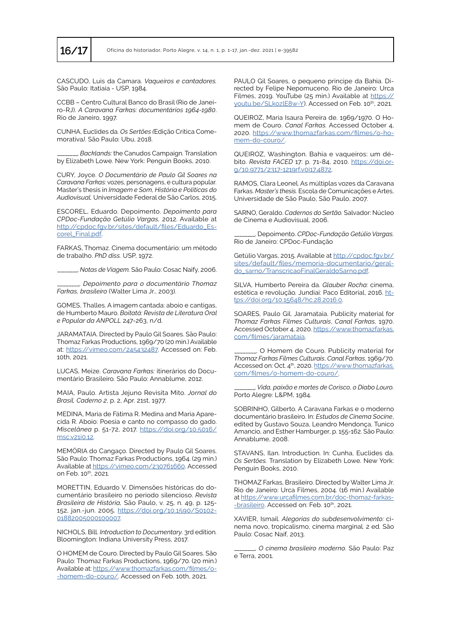CASCUDO, Luis da Camara. *Vaqueiros e cantadores.* São Paulo: Itatiaia - USP, 1984.

CCBB – Centro Cultural Banco do Brasil (Rio de Janeiro-RJ). *A Caravana Farkas: documentários 1964-1980*. Rio de Janeiro, 1997.

CUNHA, Euclides da. *Os Sertões (*Edição Crítica Comemorativa*).* São Paulo: Ubu, 2018.

\_\_\_\_\_\_\_\_. *Backlands:* the Canudos Campaign*.* Translation by Elizabeth Lowe. New York: Penguin Books, 2010.

CURY, Joyce. *O Documentário de Paulo Gil Soares na Caravana Farkas:* vozes, personagens, e cultura popular*.* Master's thesis in *Imagem e Som, História e Políticas do Audiovisual,* Universidade Federal de São Carlos, 2015.

ESCOREL, Eduardo. Depoimento. *Depoimento para CPDoc-Fundação Getúlio Vargas,* 2012. Available at [http://cpdoc.fgv.br/sites/default/files/Eduardo\\_Es](http://cpdoc.fgv.br/sites/default/files/Eduardo_Escorel_Final.pdf)[corel\\_Final.pdf.](http://cpdoc.fgv.br/sites/default/files/Eduardo_Escorel_Final.pdf)

FARKAS, Thomaz. Cinema documentário: um método de trabalho. *PhD diss.* USP, 1972.

\_\_\_\_\_\_\_\_. *Notas de Viagem.* São Paulo: Cosac Naify, 2006.

\_\_\_\_\_\_\_\_. *Depoimento para o documentário Thomaz Farkas, brasileiro* (Walter Lima Jr., 2003).

GOMES, Thalles. A imagem cantada: aboio e cantigas, de Humberto Mauro. *Boitatá: Revista de Literatura Oral e Popular da ANPOLL* 247-263, n/d.

JARAMATAIA. Directed by Paulo Gil Soares. São Paulo: Thomaz Farkas Productions, 1969/70 (20 min.) Available at: <https://vimeo.com/245432487>. Accessed on: Feb. 10th, 2021.

LUCAS, Meize. *Caravana Farkas:* itinerários do Documentário Brasileiro*.* São Paulo: Annablume, 2012.

MAIA, Paulo. Artista Jejuno Revisita Mito. *Jornal do Brasil, Caderno 2*, p. 2, Apr. 21st, 1977.

MEDINA, Maria de Fátima R. Medina and Maria Aparecida R. Aboio: Poesia e canto no compasso do gado. *Miscelânea* p. 51-72, 2017. [https://doi.org/10.5016/](https://doi.org/10.5016/msc.v21i0.12) [msc.v21i0.12](https://doi.org/10.5016/msc.v21i0.12).

MEMÓRIA do Cangaço. Directed by Paulo Gil Soares. São Paulo: Thomaz Farkas Productions, 1964. (29 min.) Available at <https://vimeo.com/230761660>. Accessed on Feb. 10th, 2021.

MORETTIN, Eduardo V. Dimensões históricas do documentário brasileiro no periodo silencioso. *Revista Brasileira de História,* São Paulo, v. 25, n. 49, p. 125- 152, jan.-jun. 2005. [https://doi.org/10.1590/S0102-](https://doi.org/10.1590/S0102-01882005000100007) [01882005000100007](https://doi.org/10.1590/S0102-01882005000100007).

NICHOLS, Bill. *Introduction to Documentary.* 3rd edition*.* Bloomington: Indiana University Press, 2017.

O HOMEM de Couro. Directed by Paulo Gil Soares. São Paulo: Thomaz Farkas Productions, 1969/70. (20 min.) Available at: [https://www.thomazfarkas.com/filmes/o](https://www.thomazfarkas.com/filmes/o-homem-do-couro/)- [-homem-do-couro/.](https://www.thomazfarkas.com/filmes/o-homem-do-couro/) Accessed on Feb. 10th, 2021.

PAULO Gil Soares, o pequeno principe da Bahia. Directed by Felipe Nepomuceno. Rio de Janeiro: Urca Filmes, 2019. YouTube (25 min.) Available at [https://](https://youtu.be/SLkozlE8w-Y) [youtu.be/SLkozlE8w-Y](https://youtu.be/SLkozlE8w-Y)). Accessed on Feb. 10<sup>th</sup>, 2021.

QUEIROZ, Maria Isaura Pereira de. 1969/1970. O Homem de Couro. *Canal Farkas.* Accessed October 4, 2020. [https://www.thomazfarkas.com/filmes/o-ho](https://www.thomazfarkas.com/filmes/o-homem-do-couro/)[mem-do-couro/.](https://www.thomazfarkas.com/filmes/o-homem-do-couro/)

QUEIROZ, Washington. Bahia e vaqueiros: um débito. *Revista FACED* 17: p. 71-84, 2010. [https://doi.or](https://doi.org/10.9771/2317-1219rf.v0i17.4872)[g/10.9771/2317-1219rf.v0i17.4872](https://doi.org/10.9771/2317-1219rf.v0i17.4872).

RAMOS, Clara Leonel. As múltiplas vozes da Caravana Farkas. *Master's thesis.* Escola de Comunicações e Artes, Universidade de São Paulo, São Paulo, 2007.

SARNO, Geraldo. *Cadernos do Sertão.* Salvador: Núcleo de Cinema e Audiovisual, 2006.

\_\_\_\_\_\_\_\_. Depoimento. *CPDoc-Fundação Getúlio Vargas.* Rio de Janeiro: CPDoc-Fundação

Getúlio Vargas, 2015. Available at [http://cpdoc.fgv.br/](http://cpdoc.fgv.br/sites/default/files/memoria-documentario/geraldo_sarno/TranscricaoFinalGeraldoSarno.pdf) [sites/default/files/memoria-documentario/geral](http://cpdoc.fgv.br/sites/default/files/memoria-documentario/geraldo_sarno/TranscricaoFinalGeraldoSarno.pdf)[do\\_sarno/TranscricaoFinalGeraldoSarno.pdf](http://cpdoc.fgv.br/sites/default/files/memoria-documentario/geraldo_sarno/TranscricaoFinalGeraldoSarno.pdf).

SILVA, Humberto Pereira da. *Glauber Rocha:* cinema, estética e revolução*.* Jundiaí: Paco Editorial, 2016. [ht](https://doi.org/10.15648/hc.28.2016.0)[tps://doi.org/10.15648/hc.28.2016.0](https://doi.org/10.15648/hc.28.2016.0).

SOARES, Paulo Gil. Jaramataia. Publicity material for *Thomaz Farkas Filmes Culturais*, *Canal Farkas,* 1970. Accessed October 4, 2020. [https://www.thomazfarkas.](https://www.thomazfarkas.com/filmes/jaramataia) [com/filmes/jaramataia](https://www.thomazfarkas.com/filmes/jaramataia).

\_\_\_\_\_\_\_\_. O Homem de Couro. Publicity material for *Thomaz Farkas Filmes Culturais*, *Canal Farkas,* 1969/70. Accessed on: Oct. 4<sup>th</sup>, 2020. [https://www.thomazfarkas.](https://www.thomazfarkas.com/filmes/o-homem-do-couro/) [com/filmes/o-homem-do-couro/](https://www.thomazfarkas.com/filmes/o-homem-do-couro/).

\_\_\_\_\_\_\_\_. *Vida, paixão e mortes de Corisco, o Diabo Louro.* Porto Alegre: L&PM, 1984.

SOBRINHO, Gilberto. A Caravana Farkas e o moderno documentário brasileiro. In: *Estudos de Cinema Socine*, edited by Gustavo Souza, Leandro Mendonça, Tunico Amancio, and Esther Hamburger, p. 155-162. São Paulo: Annablume, 2008.

STAVANS, Ilan. Introduction. In: Cunha, Euclides da. *Os Sertões.* Translation by Elizabeth Lowe. New York: Penguin Books, 2010.

THOMAZ Farkas, Brasileiro. Directed by Walter Lima Jr. Rio de Janeiro: Urca Filmes, 2004. (16 min.) Available at [https://www.urcafilmes.com.br/doc-thomaz-farkas](https://www.urcafilmes.com.br/doc-thomaz-farkas-brasileiro)- [-brasileiro](https://www.urcafilmes.com.br/doc-thomaz-farkas-brasileiro). Accessed on: Feb. 10<sup>th</sup>, 2021.

XAVIER, Ismail. *Alegorias do subdesenvolvimento:* cinema novo, tropicalismo, cinema marginal*.* 2 ed. São Paulo: Cosac Naif, 2013.

\_\_\_\_\_\_\_\_. *O cinema brasileiro moderno.* São Paulo: Paz e Terra, 2001.